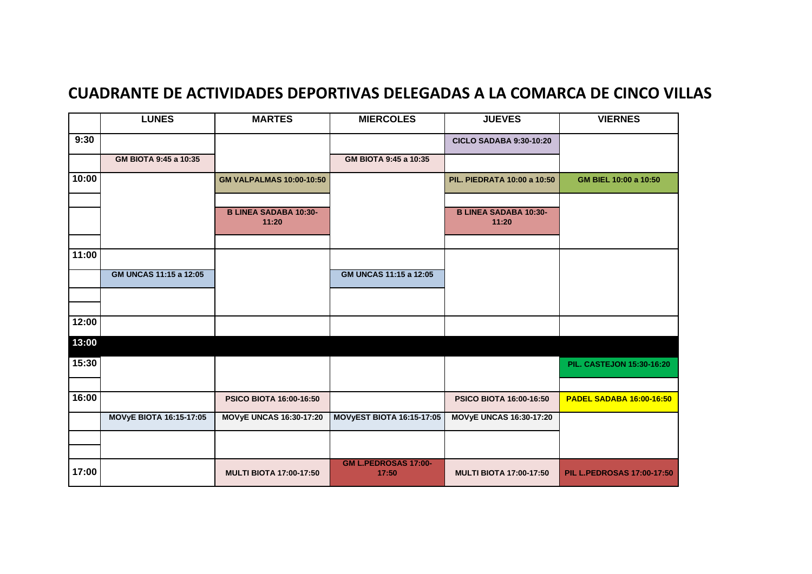## **CUADRANTE DE ACTIVIDADES DEPORTIVAS DELEGADAS A LA COMARCA DE CINCO VILLAS**

|       | <b>LUNES</b>                   | <b>MARTES</b>                         | <b>MIERCOLES</b>                 | <b>JUEVES</b>                         | <b>VIERNES</b>                    |
|-------|--------------------------------|---------------------------------------|----------------------------------|---------------------------------------|-----------------------------------|
| 9:30  |                                |                                       |                                  | <b>CICLO SADABA 9:30-10:20</b>        |                                   |
|       | GM BIOTA 9:45 a 10:35          |                                       | GM BIOTA 9:45 a 10:35            |                                       |                                   |
| 10:00 |                                | <b>GM VALPALMAS 10:00-10:50</b>       |                                  | PIL. PIEDRATA 10:00 a 10:50           | GM BIEL 10:00 a 10:50             |
|       |                                | <b>B LINEA SADABA 10:30-</b><br>11:20 |                                  | <b>B LINEA SADABA 10:30-</b><br>11:20 |                                   |
| 11:00 |                                |                                       |                                  |                                       |                                   |
|       | GM UNCAS 11:15 a 12:05         |                                       | GM UNCAS 11:15 a 12:05           |                                       |                                   |
|       |                                |                                       |                                  |                                       |                                   |
| 12:00 |                                |                                       |                                  |                                       |                                   |
| 13:00 |                                |                                       |                                  |                                       |                                   |
| 15:30 |                                |                                       |                                  |                                       | <b>PIL. CASTEJON 15:30-16:20</b>  |
|       |                                |                                       |                                  |                                       |                                   |
| 16:00 |                                | <b>PSICO BIOTA 16:00-16:50</b>        |                                  | <b>PSICO BIOTA 16:00-16:50</b>        | <b>PADEL SADABA 16:00-16:50</b>   |
|       | <b>MOVyE BIOTA 16:15-17:05</b> | <b>MOVyE UNCAS 16:30-17:20</b>        | <b>MOVYEST BIOTA 16:15-17:05</b> | <b>MOVYE UNCAS 16:30-17:20</b>        |                                   |
|       |                                |                                       |                                  |                                       |                                   |
| 17:00 |                                | <b>MULTI BIOTA 17:00-17:50</b>        | GM L.PEDROSAS 17:00-<br>17:50    | <b>MULTI BIOTA 17:00-17:50</b>        | <b>PIL L.PEDROSAS 17:00-17:50</b> |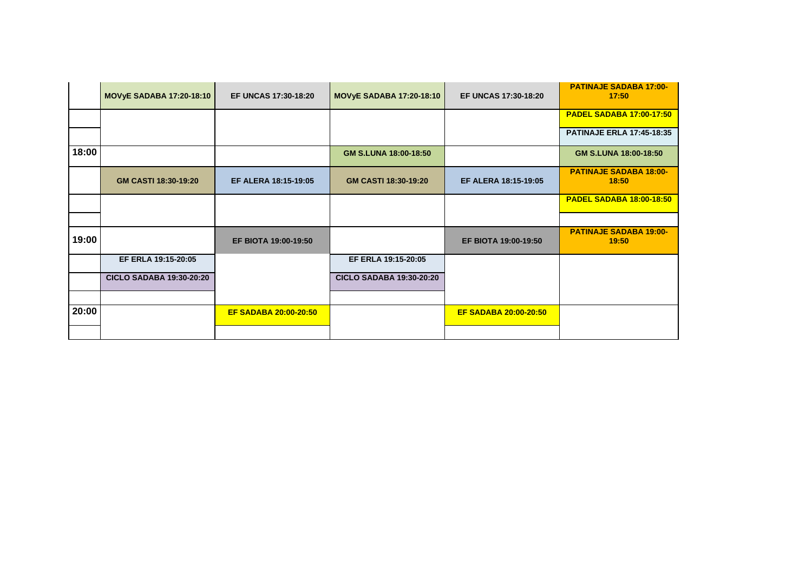|       | <b>MOVYE SADABA 17:20-18:10</b> | <b>EF UNCAS 17:30-18:20</b>  | <b>MOVyE SADABA 17:20-18:10</b> | <b>EF UNCAS 17:30-18:20</b>  | <b>PATINAJE SADABA 17:00-</b><br>17:50 |
|-------|---------------------------------|------------------------------|---------------------------------|------------------------------|----------------------------------------|
|       |                                 |                              |                                 |                              | <b>PADEL SADABA 17:00-17:50</b>        |
|       |                                 |                              |                                 |                              | <b>PATINAJE ERLA 17:45-18:35</b>       |
| 18:00 |                                 |                              | GM S.LUNA 18:00-18:50           |                              | GM S.LUNA 18:00-18:50                  |
|       | GM CASTI 18:30-19:20            | EF ALERA 18:15-19:05         | GM CASTI 18:30-19:20            | <b>EF ALERA 18:15-19:05</b>  | <b>PATINAJE SADABA 18:00-</b><br>18:50 |
|       |                                 |                              |                                 |                              | <b>PADEL SADABA 18:00-18:50</b>        |
|       |                                 |                              |                                 |                              |                                        |
| 19:00 |                                 | EF BIOTA 19:00-19:50         |                                 | EF BIOTA 19:00-19:50         | <b>PATINAJE SADABA 19:00-</b><br>19:50 |
|       | EF ERLA 19:15-20:05             |                              | EF ERLA 19:15-20:05             |                              |                                        |
|       | <b>CICLO SADABA 19:30-20:20</b> |                              | <b>CICLO SADABA 19:30-20:20</b> |                              |                                        |
|       |                                 |                              |                                 |                              |                                        |
| 20:00 |                                 | <b>EF SADABA 20:00-20:50</b> |                                 | <b>EF SADABA 20:00-20:50</b> |                                        |
|       |                                 |                              |                                 |                              |                                        |